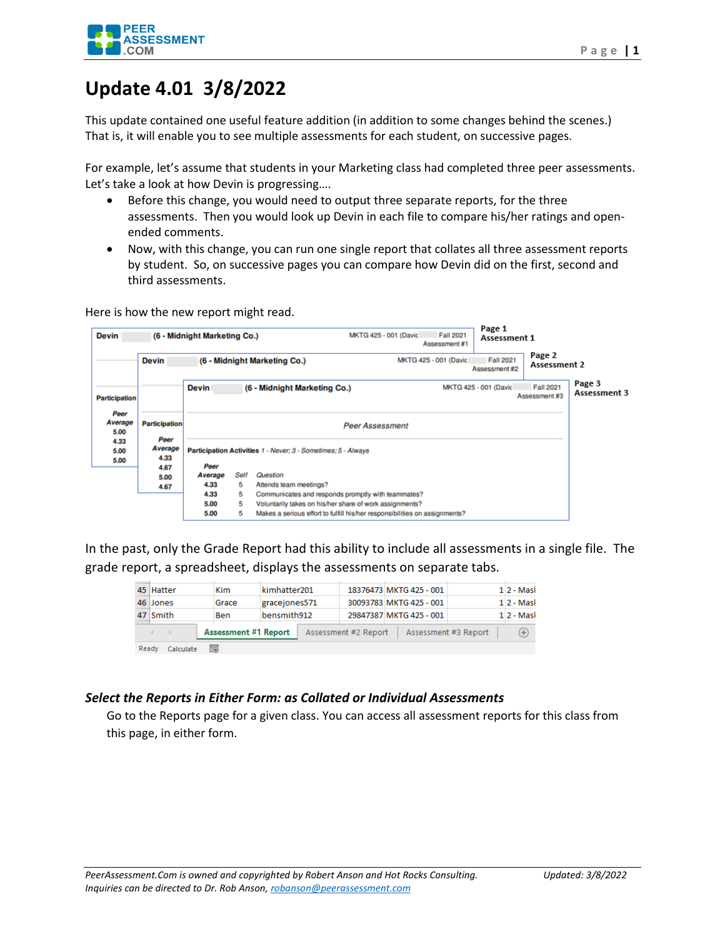

## **Update 4.01 3/8/2022**

This update contained one useful feature addition (in addition to some changes behind the scenes.) That is, it will enable you to see multiple assessments for each student, on successive pages.

For example, let's assume that students in your Marketing class had completed three peer assessments. Let's take a look at how Devin is progressing….

- Before this change, you would need to output three separate reports, for the three assessments. Then you would look up Devin in each file to compare his/her ratings and openended comments.
- Now, with this change, you can run one single report that collates all three assessment reports by student. So, on successive pages you can compare how Devin did on the first, second and third assessments.

Here is how the new report might read.

| <b>Devin</b>                                                                            | (6 - Midnight Marketing Co.)                                         |                                                               |      | MKTG 425 - 001 (David                              | <b>Fall 2021</b><br>Assessment #1 | Page 1<br>Assessment 1                                     |                                   |                        |                        |  |
|-----------------------------------------------------------------------------------------|----------------------------------------------------------------------|---------------------------------------------------------------|------|----------------------------------------------------|-----------------------------------|------------------------------------------------------------|-----------------------------------|------------------------|------------------------|--|
|                                                                                         | <b>Devin</b>                                                         |                                                               |      | (6 - Midnight Marketing Co.)                       |                                   | MKTG 425 - 001 (David                                      | <b>Fall 2021</b><br>Assessment #2 | Page 2<br>Assessment 2 |                        |  |
| <b>Participation</b>                                                                    |                                                                      | (6 - Midnight Marketing Co.)<br><b>Devin</b>                  |      |                                                    |                                   | <b>Fall 2021</b><br>MKTG 425 - 001 (David<br>Assessment #3 |                                   |                        | Page 3<br>Assessment 3 |  |
| Peer<br>Average<br>5.00                                                                 | <b>Participation</b>                                                 | <b>Peer Assessment</b>                                        |      |                                                    |                                   |                                                            |                                   |                        |                        |  |
| 4.33<br>5.00<br>5.00                                                                    | Peer<br>Average<br>4.33                                              | Participation Activities 1 - Never: 3 - Sometimes: 5 - Always |      |                                                    |                                   |                                                            |                                   |                        |                        |  |
|                                                                                         | 4.67                                                                 | Peer<br>Average                                               | Self | Question                                           |                                   |                                                            |                                   |                        |                        |  |
|                                                                                         | 5.00<br>4.67                                                         | 4.33                                                          | 5    | Attends team meetings?                             |                                   |                                                            |                                   |                        |                        |  |
|                                                                                         |                                                                      | 4.33                                                          | 5    | Communicates and responds promptly with teammates? |                                   |                                                            |                                   |                        |                        |  |
|                                                                                         | 5.00<br>5<br>Voluntarily takes on his/her share of work assignments? |                                                               |      |                                                    |                                   |                                                            |                                   |                        |                        |  |
| 5.00<br>5<br>Makes a serious effort to fulfill his/her responsibilities on assignments? |                                                                      |                                                               |      |                                                    |                                   |                                                            |                                   |                        |                        |  |

In the past, only the Grade Report had this ability to include all assessments in a single file. The grade report, a spreadsheet, displays the assessments on separate tabs.

|       | 45 Hatter                                                                                   | Kim   | kimhatter201  |  |  | 18376473 MKTG 425 - 001 |             |  | $12 - Mask$     |
|-------|---------------------------------------------------------------------------------------------|-------|---------------|--|--|-------------------------|-------------|--|-----------------|
|       | 46 Jones                                                                                    | Grace | gracejones571 |  |  | 30093783 MKTG 425 - 001 |             |  | $1 \, 2$ - Masi |
|       | 47 Smith                                                                                    | Ben   | bensmith912   |  |  | 29847387 MKTG 425 - 001 |             |  | $1 2 - Mask$    |
|       | <b>Assessment #1 Report</b><br>Assessment #3 Report<br>Assessment #2 Report<br>$\leftarrow$ |       |               |  |  |                         | $_{\oplus}$ |  |                 |
| Ready | Calculate                                                                                   | 雨     |               |  |  |                         |             |  |                 |

## *Select the Reports in Either Form: as Collated or Individual Assessments*

Go to the Reports page for a given class. You can access all assessment reports for this class from this page, in either form.